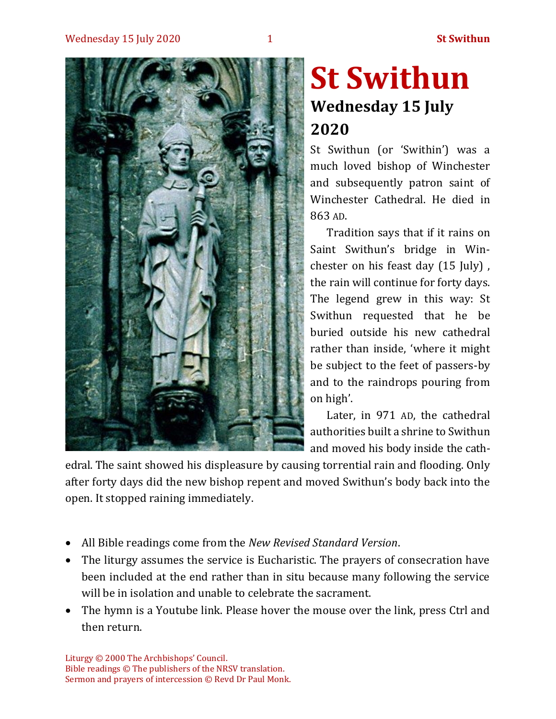

# **St Swithun Wednesday 15 July 2020**

St Swithun (or 'Swithin') was a much loved bishop of Winchester and subsequently patron saint of Winchester Cathedral. He died in 863 AD.

Tradition says that if it rains on Saint Swithun's bridge in Winchester on his feast day (15 July) , the rain will continue for forty days. The legend grew in this way: St Swithun requested that he be buried outside his new cathedral rather than inside, 'where it might be subject to the feet of passers-by and to the raindrops pouring from on high'.

Later, in 971 AD, the cathedral authorities built a shrine to Swithun and moved his body inside the cath-

edral. The saint showed his displeasure by causing torrential rain and flooding. Only after forty days did the new bishop repent and moved Swithun's body back into the open. It stopped raining immediately.

- All Bible readings come from the *New Revised Standard Version*.
- The liturgy assumes the service is Eucharistic. The prayers of consecration have been included at the end rather than in situ because many following the service will be in isolation and unable to celebrate the sacrament.
- The hymn is a Youtube link. Please hover the mouse over the link, press Ctrl and then return.

Liturgy © 2000 The Archbishops' Council. Bible readings © The publishers of the NRSV translation. Sermon and prayers of intercession © Revd Dr Paul Monk.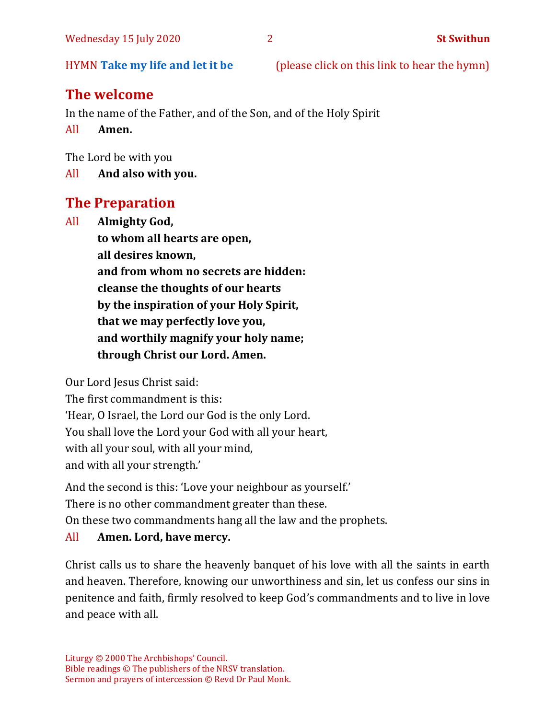HYMN **[Take my life and let it be](https://www.youtube.com/watch?v=9speOjVQ3ZA)** (please click on this link to hear the hymn)

# **The welcome**

In the name of the Father, and of the Son, and of the Holy Spirit

All **Amen.**

The Lord be with you

All **And also with you.**

# **The Preparation**

All **Almighty God, to whom all hearts are open, all desires known, and from whom no secrets are hidden: cleanse the thoughts of our hearts by the inspiration of your Holy Spirit, that we may perfectly love you, and worthily magnify your holy name; through Christ our Lord. Amen.**

Our Lord Jesus Christ said:

The first commandment is this: 'Hear, O Israel, the Lord our God is the only Lord. You shall love the Lord your God with all your heart, with all your soul, with all your mind, and with all your strength.'

And the second is this: 'Love your neighbour as yourself.'

There is no other commandment greater than these.

On these two commandments hang all the law and the prophets.

#### All **Amen. Lord, have mercy.**

Christ calls us to share the heavenly banquet of his love with all the saints in earth and heaven. Therefore, knowing our unworthiness and sin, let us confess our sins in penitence and faith, firmly resolved to keep God's commandments and to live in love and peace with all.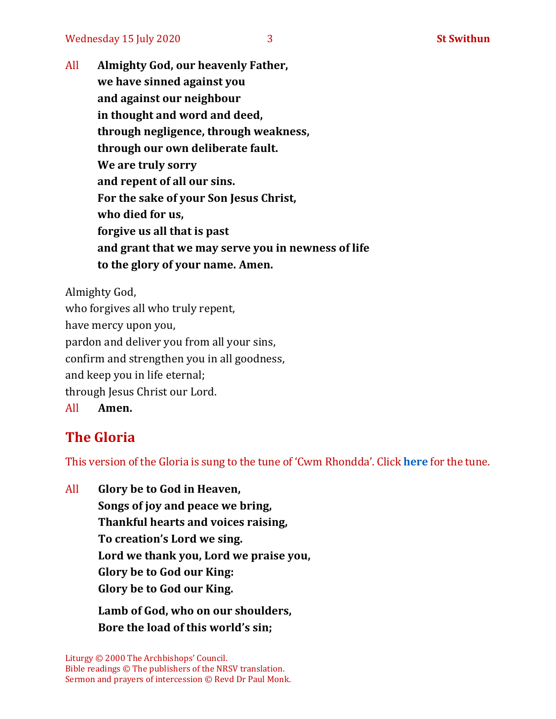All **Almighty God, our heavenly Father, we have sinned against you and against our neighbour in thought and word and deed, through negligence, through weakness, through our own deliberate fault. We are truly sorry and repent of all our sins. For the sake of your Son Jesus Christ, who died for us, forgive us all that is past and grant that we may serve you in newness of life to the glory of your name. Amen.**

Almighty God, who forgives all who truly repent, have mercy upon you, pardon and deliver you from all your sins, confirm and strengthen you in all goodness, and keep you in life eternal; through Jesus Christ our Lord. All **Amen.**

## **The Gloria**

This version of the Gloria is sung to the tune of 'Cwm Rhondda'. Click **[here](https://www.youtube.com/watch?v=BtGhnEwY74E)** for the tune.

All **Glory be to God in Heaven, Songs of joy and peace we bring, Thankful hearts and voices raising, To creation's Lord we sing. Lord we thank you, Lord we praise you, Glory be to God our King: Glory be to God our King.**

**Lamb of God, who on our shoulders, Bore the load of this world's sin;**

Liturgy © 2000 The Archbishops' Council. Bible readings © The publishers of the NRSV translation. Sermon and prayers of intercession © Revd Dr Paul Monk.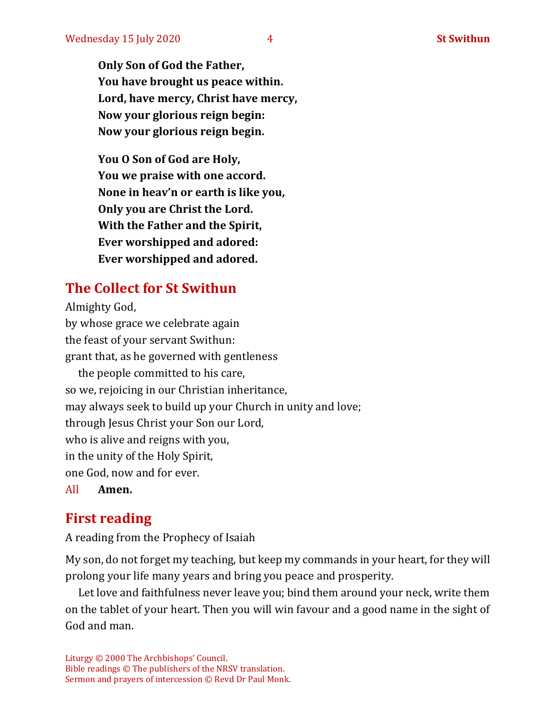**Only Son of God the Father, You have brought us peace within. Lord, have mercy, Christ have mercy, Now your glorious reign begin: Now your glorious reign begin.**

**You O Son of God are Holy, You we praise with one accord. None in heav'n or earth is like you, Only you are Christ the Lord. With the Father and the Spirit, Ever worshipped and adored: Ever worshipped and adored.**

## **The Collect for St Swithun**

Almighty God, by whose grace we celebrate again the feast of your servant Swithun: grant that, as he governed with gentleness the people committed to his care, so we, rejoicing in our Christian inheritance, may always seek to build up your Church in unity and love; through Jesus Christ your Son our Lord, who is alive and reigns with you, in the unity of the Holy Spirit, one God, now and for ever.

All **Amen.**

## **First reading**

A reading from the Prophecy of Isaiah

My son, do not forget my teaching, but keep my commands in your heart, for they will prolong your life many years and bring you peace and prosperity.

Let love and faithfulness never leave you; bind them around your neck, write them on the tablet of your heart. Then you will win favour and a good name in the sight of God and man.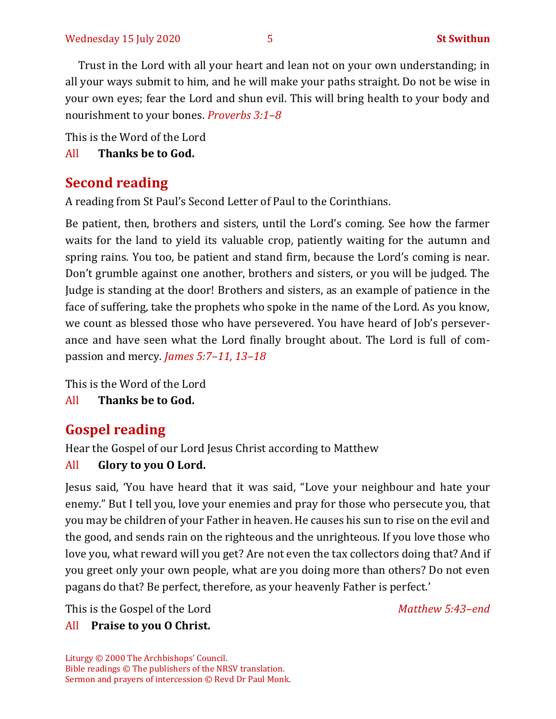Trust in the Lord with all your heart and lean not on your own understanding; in all your ways submit to him, and he will make your paths straight. Do not be wise in your own eyes; fear the Lord and shun evil. This will bring health to your body and nourishment to your bones. *Proverbs 3:1–8*

This is the Word of the Lord

All **Thanks be to God.**

### **Second reading**

A reading from St Paul's Second Letter of Paul to the Corinthians.

Be patient, then, brothers and sisters, until the Lord's coming. See how the farmer waits for the land to yield its valuable crop, patiently waiting for the autumn and spring rains. You too, be patient and stand firm, because the Lord's coming is near. Don't grumble against one another, brothers and sisters, or you will be judged. The Judge is standing at the door! Brothers and sisters, as an example of patience in the face of suffering, take the prophets who spoke in the name of the Lord. As you know, we count as blessed those who have persevered. You have heard of Job's perseverance and have seen what the Lord finally brought about. The Lord is full of compassion and mercy. *James 5:7–11, 13–18*

This is the Word of the Lord

All **Thanks be to God.**

# **Gospel reading**

Hear the Gospel of our Lord Jesus Christ according to Matthew

#### All **Glory to you O Lord.**

Jesus said, 'You have heard that it was said, "Love your neighbour and hate your enemy." But I tell you, love your enemies and pray for those who persecute you, that you may be children of your Father in heaven. He causes his sun to rise on the evil and the good, and sends rain on the righteous and the unrighteous. If you love those who love you, what reward will you get? Are not even the tax collectors doing that? And if you greet only your own people, what are you doing more than others? Do not even pagans do that? Be perfect, therefore, as your heavenly Father is perfect.'

This is the Gospel of the Lord *Matthew 5:43–end*

#### All **Praise to you O Christ.**

Liturgy © 2000 The Archbishops' Council. Bible readings © The publishers of the NRSV translation. Sermon and prayers of intercession © Revd Dr Paul Monk.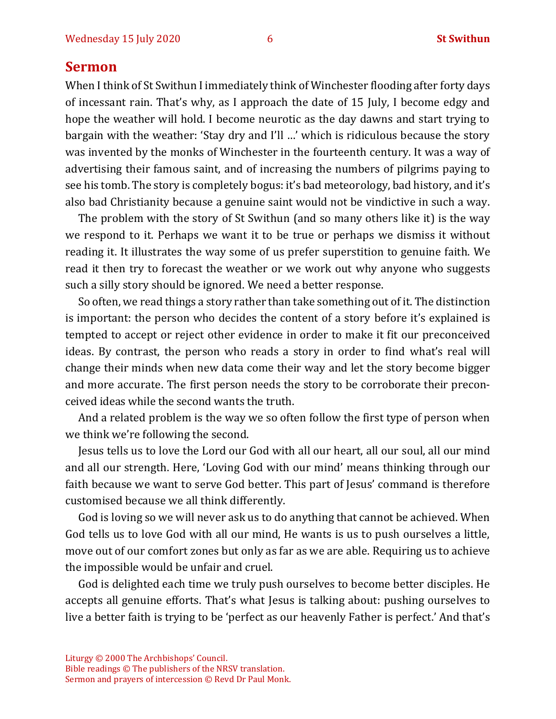#### **Sermon**

When I think of St Swithun I immediately think of Winchester flooding after forty days of incessant rain. That's why, as I approach the date of 15 July, I become edgy and hope the weather will hold. I become neurotic as the day dawns and start trying to bargain with the weather: 'Stay dry and I'll …' which is ridiculous because the story was invented by the monks of Winchester in the fourteenth century. It was a way of advertising their famous saint, and of increasing the numbers of pilgrims paying to see his tomb. The story is completely bogus: it's bad meteorology, bad history, and it's also bad Christianity because a genuine saint would not be vindictive in such a way.

The problem with the story of St Swithun (and so many others like it) is the way we respond to it. Perhaps we want it to be true or perhaps we dismiss it without reading it. It illustrates the way some of us prefer superstition to genuine faith. We read it then try to forecast the weather or we work out why anyone who suggests such a silly story should be ignored. We need a better response.

So often, we read things a story rather than take something out of it. The distinction is important: the person who decides the content of a story before it's explained is tempted to accept or reject other evidence in order to make it fit our preconceived ideas. By contrast, the person who reads a story in order to find what's real will change their minds when new data come their way and let the story become bigger and more accurate. The first person needs the story to be corroborate their preconceived ideas while the second wants the truth.

And a related problem is the way we so often follow the first type of person when we think we're following the second.

Jesus tells us to love the Lord our God with all our heart, all our soul, all our mind and all our strength. Here, 'Loving God with our mind' means thinking through our faith because we want to serve God better. This part of Jesus' command is therefore customised because we all think differently.

God is loving so we will never ask us to do anything that cannot be achieved. When God tells us to love God with all our mind, He wants is us to push ourselves a little, move out of our comfort zones but only as far as we are able. Requiring us to achieve the impossible would be unfair and cruel.

God is delighted each time we truly push ourselves to become better disciples. He accepts all genuine efforts. That's what Jesus is talking about: pushing ourselves to live a better faith is trying to be 'perfect as our heavenly Father is perfect.' And that's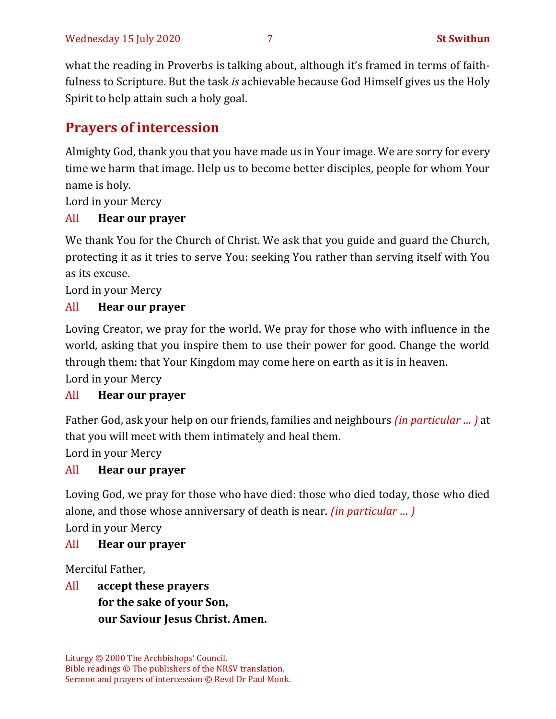what the reading in Proverbs is talking about, although it's framed in terms of faithfulness to Scripture. But the task *is* achievable because God Himself gives us the Holy Spirit to help attain such a holy goal.

# **Prayers of intercession**

Almighty God, thank you that you have made us in Your image. We are sorry for every time we harm that image. Help us to become better disciples, people for whom Your name is holy.

Lord in your Mercy

#### All **Hear our prayer**

We thank You for the Church of Christ. We ask that you guide and guard the Church, protecting it as it tries to serve You: seeking You rather than serving itself with You as its excuse.

Lord in your Mercy

#### All **Hear our prayer**

Loving Creator, we pray for the world. We pray for those who with influence in the world, asking that you inspire them to use their power for good. Change the world through them: that Your Kingdom may come here on earth as it is in heaven.

Lord in your Mercy

#### All **Hear our prayer**

Father God, ask your help on our friends, families and neighbours *(in particular … )* at that you will meet with them intimately and heal them.

Lord in your Mercy

#### All **Hear our prayer**

Loving God, we pray for those who have died: those who died today, those who died alone, and those whose anniversary of death is near. *(in particular … )* Lord in your Mercy

#### All **Hear our prayer**

Merciful Father,

All **accept these prayers for the sake of your Son, our Saviour Jesus Christ. Amen.**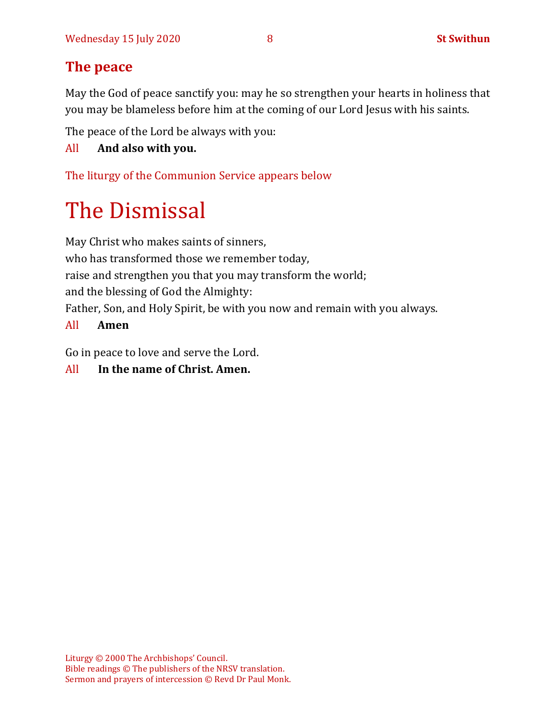# **The peace**

May the God of peace sanctify you: may he so strengthen your hearts in holiness that you may be blameless before him at the coming of our Lord Jesus with his saints.

The peace of the Lord be always with you:

#### All **And also with you.**

The liturgy of the Communion Service appears below

# The Dismissal

May Christ who makes saints of sinners, who has transformed those we remember today, raise and strengthen you that you may transform the world; and the blessing of God the Almighty: Father, Son, and Holy Spirit, be with you now and remain with you always.

#### All **Amen**

Go in peace to love and serve the Lord.

#### All **In the name of Christ. Amen.**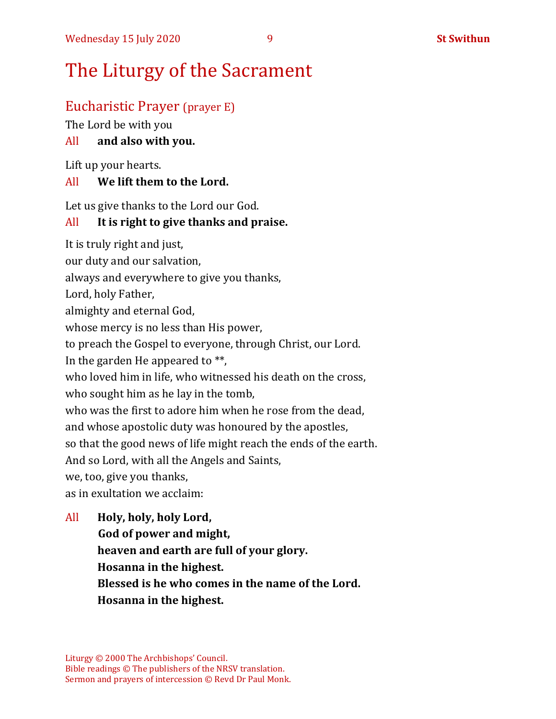# The Liturgy of the Sacrament

# Eucharistic Prayer (prayer E)

The Lord be with you

#### All **and also with you.**

Lift up your hearts.

#### All **We lift them to the Lord.**

Let us give thanks to the Lord our God.

#### All **It is right to give thanks and praise.**

It is truly right and just,

our duty and our salvation,

always and everywhere to give you thanks,

Lord, holy Father,

almighty and eternal God,

whose mercy is no less than His power,

to preach the Gospel to everyone, through Christ, our Lord.

In the garden He appeared to \*\*,

who loved him in life, who witnessed his death on the cross,

who sought him as he lay in the tomb,

who was the first to adore him when he rose from the dead,

and whose apostolic duty was honoured by the apostles,

so that the good news of life might reach the ends of the earth.

And so Lord, with all the Angels and Saints,

we, too, give you thanks,

as in exultation we acclaim:

All **Holy, holy, holy Lord, God of power and might, heaven and earth are full of your glory. Hosanna in the highest. Blessed is he who comes in the name of the Lord. Hosanna in the highest.**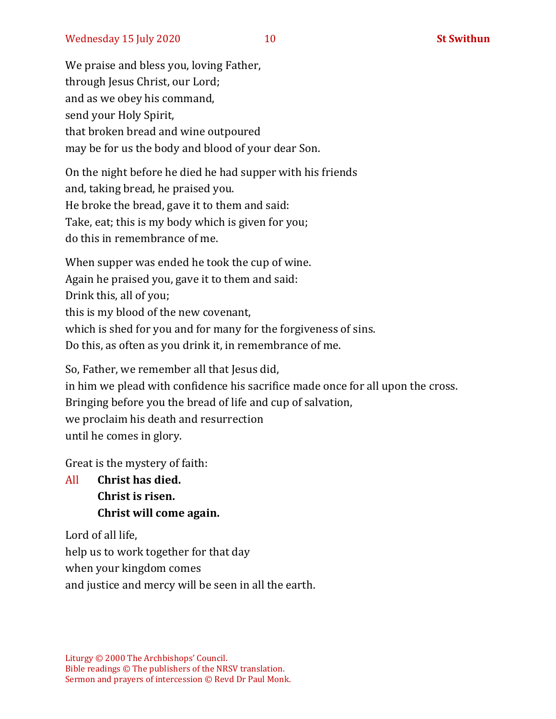We praise and bless you, loving Father, through Jesus Christ, our Lord; and as we obey his command, send your Holy Spirit, that broken bread and wine outpoured may be for us the body and blood of your dear Son.

On the night before he died he had supper with his friends and, taking bread, he praised you. He broke the bread, gave it to them and said: Take, eat; this is my body which is given for you; do this in remembrance of me.

When supper was ended he took the cup of wine. Again he praised you, gave it to them and said: Drink this, all of you; this is my blood of the new covenant, which is shed for you and for many for the forgiveness of sins. Do this, as often as you drink it, in remembrance of me.

So, Father, we remember all that Jesus did, in him we plead with confidence his sacrifice made once for all upon the cross. Bringing before you the bread of life and cup of salvation, we proclaim his death and resurrection until he comes in glory.

Great is the mystery of faith:

All **Christ has died. Christ is risen. Christ will come again.**

Lord of all life, help us to work together for that day when your kingdom comes and justice and mercy will be seen in all the earth.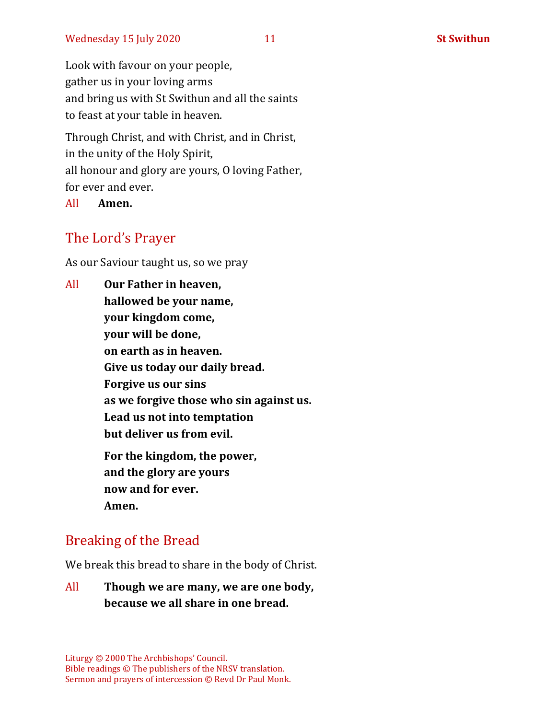Look with favour on your people, gather us in your loving arms and bring us with St Swithun and all the saints to feast at your table in heaven.

Through Christ, and with Christ, and in Christ, in the unity of the Holy Spirit, all honour and glory are yours, O loving Father, for ever and ever.

All **Amen.**

## The Lord's Prayer

As our Saviour taught us, so we pray

All **Our Father in heaven, hallowed be your name, your kingdom come, your will be done, on earth as in heaven. Give us today our daily bread. Forgive us our sins as we forgive those who sin against us. Lead us not into temptation but deliver us from evil. For the kingdom, the power, and the glory are yours now and for ever. Amen.**

## Breaking of the Bread

We break this bread to share in the body of Christ.

All **Though we are many, we are one body, because we all share in one bread.**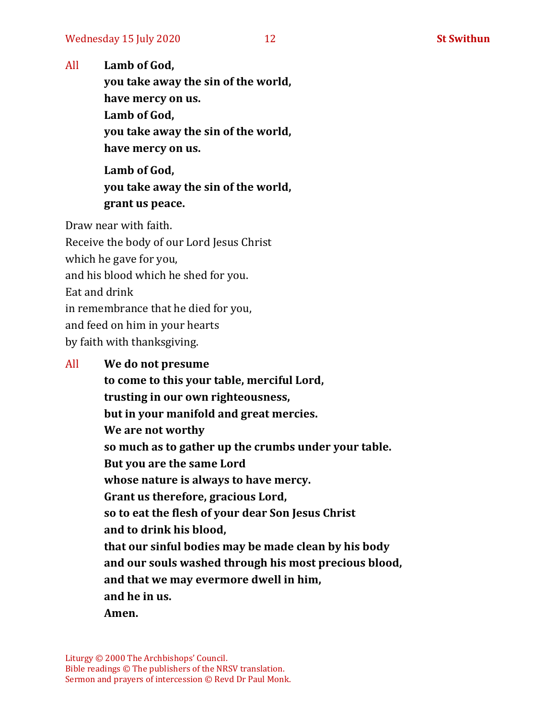All **Lamb of God,**

**you take away the sin of the world, have mercy on us. Lamb of God, you take away the sin of the world, have mercy on us.**

**Lamb of God, you take away the sin of the world, grant us peace.**

Draw near with faith.

Receive the body of our Lord Jesus Christ which he gave for you, and his blood which he shed for you. Eat and drink in remembrance that he died for you, and feed on him in your hearts by faith with thanksgiving.

#### All **We do not presume**

**to come to this your table, merciful Lord, trusting in our own righteousness, but in your manifold and great mercies. We are not worthy so much as to gather up the crumbs under your table. But you are the same Lord whose nature is always to have mercy. Grant us therefore, gracious Lord, so to eat the flesh of your dear Son Jesus Christ and to drink his blood, that our sinful bodies may be made clean by his body and our souls washed through his most precious blood, and that we may evermore dwell in him, and he in us. Amen.**